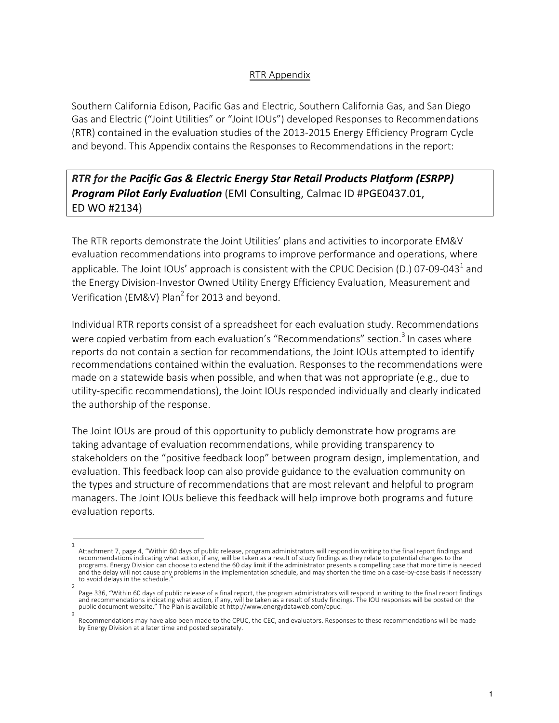## RTR Appendix

Southern California Edison, Pacific Gas and Electric, Southern California Gas, and San Diego Gas and Electric ("Joint Utilities" or "Joint IOUs") developed Responses to Recommendations (RTR) contained in the evaluation studies of the 2013-2015 Energy Efficiency Program Cycle and beyond. This Appendix contains the Responses to Recommendations in the report:

*RTR for the Pacific Gas & Electric Energy Star Retail Products Platform (ESRPP) Program Pilot Early Evaluation* (EMI Consulting, Calmac ID #PGE0437.01, ED WO #2134)

The RTR reports demonstrate the Joint Utilities' plans and activities to incorporate EM&V evaluation recommendations into programs to improve performance and operations, where applicable. The Joint IOUs' approach is consistent with the CPUC Decision (D.) 07-09-043<sup>1</sup> and the Energy Division-Investor Owned Utility Energy Efficiency Evaluation, Measurement and Verification (EM&V) Plan<sup>2</sup> for 2013 and beyond.

Individual RTR reports consist of a spreadsheet for each evaluation study. Recommendations were copied verbatim from each evaluation's "Recommendations" section.<sup>3</sup> In cases where reports do not contain a section for recommendations, the Joint IOUs attempted to identify recommendations contained within the evaluation. Responses to the recommendations were made on a statewide basis when possible, and when that was not appropriate (e.g., due to utility-specific recommendations), the Joint IOUs responded individually and clearly indicated the authorship of the response.

The Joint IOUs are proud of this opportunity to publicly demonstrate how programs are taking advantage of evaluation recommendations, while providing transparency to stakeholders on the "positive feedback loop" between program design, implementation, and evaluation. This feedback loop can also provide guidance to the evaluation community on the types and structure of recommendations that are most relevant and helpful to program managers. The Joint IOUs believe this feedback will help improve both programs and future evaluation reports.

<sup>1</sup>  Attachment 7, page 4, "Within 60 days of public release, program administrators will respond in writing to the final report findings and recommendations indicating what action, if any, will be taken as a result of study findings as they relate to potential changes to the programs. Energy Division can choose to extend the 60 day limit if the administrator presents a compelling case that more time is needed and the delay will not cause any problems in the implementation schedule, and may shorten the time on a case-by-case basis if necessary to avoid delays in the schedule.

<sup>2</sup>  Page 336, "Within 60 days of public release of a final report, the program administrators will respond in writing to the final report findings<br>and recommendations indicating what action, if any, will be taken as a result o public document website." The Plan is available at http://www.energydataweb.com/cpuc. 3

Recommendations may have also been made to the CPUC, the CEC, and evaluators. Responses to these recommendations will be made by Energy Division at a later time and posted separately.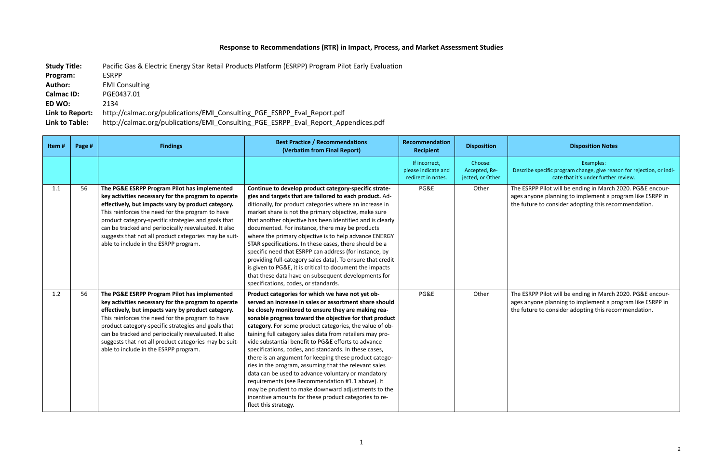## **Response to Recommendations (RTR) in Impact, Process, and Market Assessment Studies**

| <b>Study Title:</b> | Pacific Gas & Electric Energy Star Retail Products Platform (ESRPP) Program Pilot Early Evaluation |
|---------------------|----------------------------------------------------------------------------------------------------|
| Program:            | <b>ESRPP</b>                                                                                       |
| <b>Author:</b>      | <b>EMI Consulting</b>                                                                              |
| <b>Calmac ID:</b>   | PGE0437.01                                                                                         |
| ED WO:              | 2134                                                                                               |
| Link to Report:     | http://calmac.org/publications/EMI Consulting PGE ESRPP Eval Report.pdf                            |
| Link to Table:      | http://calmac.org/publications/EMI Consulting PGE ESRPP Eval Report Appendices.pdf                 |

## **Recipient Disposition Disposition Notes**

Examples: e specific program change, give reason for rejection, or indicate that it's under further review.

RPP Pilot will be ending in March 2020. PG&E encouryone planning to implement a program like ESRPP in are to consider adopting this recommendation.

RPP Pilot will be ending in March 2020. PG&E encouryone planning to implement a program like ESRPP in are to consider adopting this recommendation.

| Item# | Page # | <b>Findings</b>                                                                                                                                                                                                                                                                                                                                                                                                                | <b>Best Practice / Recommendations</b><br>(Verbatim from Final Report)                                                                                                                                                                                                                                                                                                                                                                                                                                                                                                                                                                                                                                                                                                                                                                 | Recommendation<br><b>Recipient</b>                         | <b>Disposition</b>                           |                                 |
|-------|--------|--------------------------------------------------------------------------------------------------------------------------------------------------------------------------------------------------------------------------------------------------------------------------------------------------------------------------------------------------------------------------------------------------------------------------------|----------------------------------------------------------------------------------------------------------------------------------------------------------------------------------------------------------------------------------------------------------------------------------------------------------------------------------------------------------------------------------------------------------------------------------------------------------------------------------------------------------------------------------------------------------------------------------------------------------------------------------------------------------------------------------------------------------------------------------------------------------------------------------------------------------------------------------------|------------------------------------------------------------|----------------------------------------------|---------------------------------|
|       |        |                                                                                                                                                                                                                                                                                                                                                                                                                                |                                                                                                                                                                                                                                                                                                                                                                                                                                                                                                                                                                                                                                                                                                                                                                                                                                        | If incorrect,<br>please indicate and<br>redirect in notes. | Choose:<br>Accepted, Re-<br>jected, or Other | Describe                        |
| 1.1   | 56     | The PG&E ESRPP Program Pilot has implemented<br>key activities necessary for the program to operate<br>effectively, but impacts vary by product category.<br>This reinforces the need for the program to have<br>product category-specific strategies and goals that<br>can be tracked and periodically reevaluated. It also<br>suggests that not all product categories may be suit-<br>able to include in the ESRPP program. | Continue to develop product category-specific strate-<br>gies and targets that are tailored to each product. Ad-<br>ditionally, for product categories where an increase in<br>market share is not the primary objective, make sure<br>that another objective has been identified and is clearly<br>documented. For instance, there may be products<br>where the primary objective is to help advance ENERGY<br>STAR specifications. In these cases, there should be a<br>specific need that ESRPP can address (for instance, by<br>providing full-category sales data). To ensure that credit<br>is given to PG&E, it is critical to document the impacts<br>that these data have on subsequent developments for<br>specifications, codes, or standards.                                                                              | PG&E                                                       | Other                                        | The ESR<br>ages any<br>the futu |
| 1.2   | 56     | The PG&E ESRPP Program Pilot has implemented<br>key activities necessary for the program to operate<br>effectively, but impacts vary by product category.<br>This reinforces the need for the program to have<br>product category-specific strategies and goals that<br>can be tracked and periodically reevaluated. It also<br>suggests that not all product categories may be suit-<br>able to include in the ESRPP program. | Product categories for which we have not yet ob-<br>served an increase in sales or assortment share should<br>be closely monitored to ensure they are making rea-<br>sonable progress toward the objective for that product<br>category. For some product categories, the value of ob-<br>taining full category sales data from retailers may pro-<br>vide substantial benefit to PG&E efforts to advance<br>specifications, codes, and standards. In these cases,<br>there is an argument for keeping these product catego-<br>ries in the program, assuming that the relevant sales<br>data can be used to advance voluntary or mandatory<br>requirements (see Recommendation #1.1 above). It<br>may be prudent to make downward adjustments to the<br>incentive amounts for these product categories to re-<br>flect this strategy. | PG&E                                                       | Other                                        | The ESR<br>ages any<br>the futu |